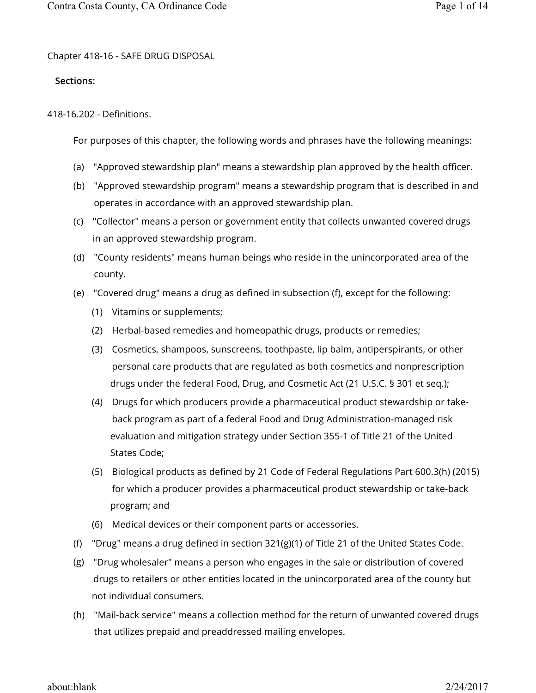Chapter 418-16 - SAFE DRUG DISPOSAL

# **Sections:**

418-16.202 - Definitions.

For purposes of this chapter, the following words and phrases have the following meanings:

- (a) "Approved stewardship plan" means a stewardship plan approved by the health officer.
- (b) "Approved stewardship program" means a stewardship program that is described in and operates in accordance with an approved stewardship plan.
- (c) "Collector" means a person or government entity that collects unwanted covered drugs in an approved stewardship program.
- (d) "County residents" means human beings who reside in the unincorporated area of the county.
- (e) "Covered drug" means a drug as defined in subsection (f), except for the following:
	- (1) Vitamins or supplements;
	- (2) Herbal-based remedies and homeopathic drugs, products or remedies;
	- (3) Cosmetics, shampoos, sunscreens, toothpaste, lip balm, antiperspirants, or other personal care products that are regulated as both cosmetics and nonprescription drugs under the federal Food, Drug, and Cosmetic Act (21 U.S.C. § 301 et seq.);
	- (4) Drugs for which producers provide a pharmaceutical product stewardship or takeback program as part of a federal Food and Drug Administration-managed risk evaluation and mitigation strategy under Section 355-1 of Title 21 of the United States Code;
	- (5) Biological products as defined by 21 Code of Federal Regulations Part 600.3(h) (2015) for which a producer provides a pharmaceutical product stewardship or take-back program; and
	- (6) Medical devices or their component parts or accessories.
- (f) "Drug" means a drug defined in section 321(g)(1) of Title 21 of the United States Code.
- (g) "Drug wholesaler" means a person who engages in the sale or distribution of covered drugs to retailers or other entities located in the unincorporated area of the county but not individual consumers.
- (h) "Mail-back service" means a collection method for the return of unwanted covered drugs that utilizes prepaid and preaddressed mailing envelopes.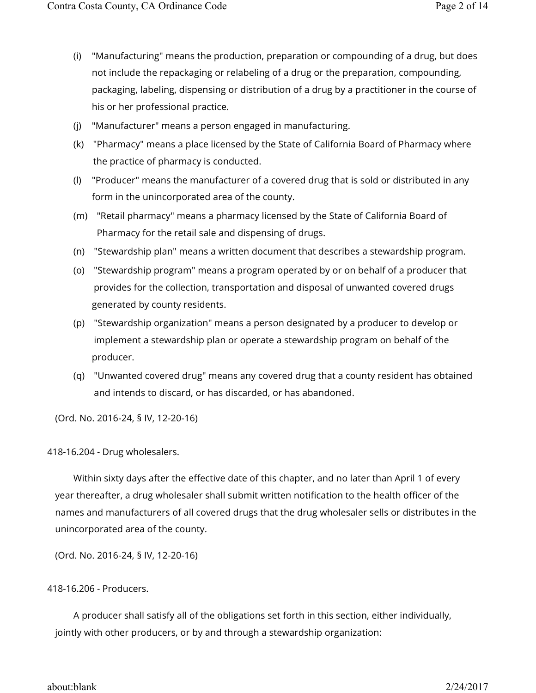- (i) "Manufacturing" means the production, preparation or compounding of a drug, but does not include the repackaging or relabeling of a drug or the preparation, compounding, packaging, labeling, dispensing or distribution of a drug by a practitioner in the course of his or her professional practice.
- (j) "Manufacturer" means a person engaged in manufacturing.
- (k) "Pharmacy" means a place licensed by the State of California Board of Pharmacy where the practice of pharmacy is conducted.
- (l) "Producer" means the manufacturer of a covered drug that is sold or distributed in any form in the unincorporated area of the county.
- (m) "Retail pharmacy" means a pharmacy licensed by the State of California Board of Pharmacy for the retail sale and dispensing of drugs.
- (n) "Stewardship plan" means a written document that describes a stewardship program.
- (o) "Stewardship program" means a program operated by or on behalf of a producer that provides for the collection, transportation and disposal of unwanted covered drugs generated by county residents.
- (p) "Stewardship organization" means a person designated by a producer to develop or implement a stewardship plan or operate a stewardship program on behalf of the producer.
- (q) "Unwanted covered drug" means any covered drug that a county resident has obtained and intends to discard, or has discarded, or has abandoned.

418-16.204 - Drug wholesalers.

Within sixty days after the effective date of this chapter, and no later than April 1 of every year thereafter, a drug wholesaler shall submit written notification to the health officer of the names and manufacturers of all covered drugs that the drug wholesaler sells or distributes in the unincorporated area of the county.

(Ord. No. 2016-24, § IV, 12-20-16)

# 418-16.206 - Producers.

A producer shall satisfy all of the obligations set forth in this section, either individually, jointly with other producers, or by and through a stewardship organization:

### about:blank 2/24/2017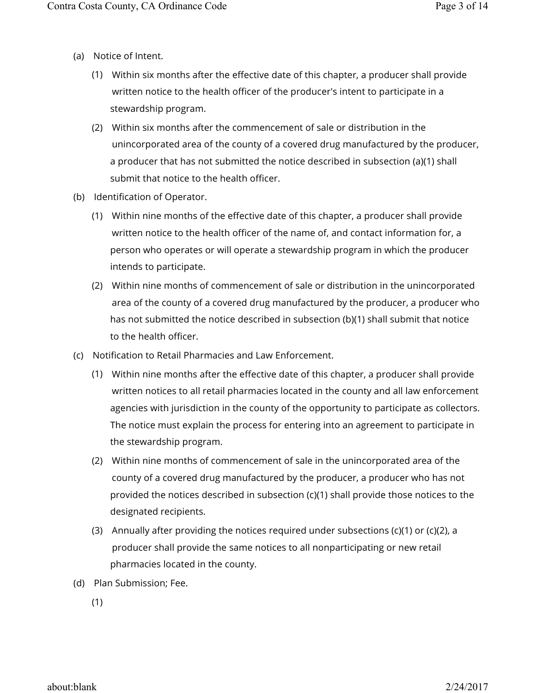- (a) Notice of Intent.
	- (1) Within six months after the effective date of this chapter, a producer shall provide written notice to the health officer of the producer's intent to participate in a stewardship program.
	- (2) Within six months after the commencement of sale or distribution in the unincorporated area of the county of a covered drug manufactured by the producer, a producer that has not submitted the notice described in subsection (a)(1) shall submit that notice to the health officer.
- (b) Identification of Operator.
	- (1) Within nine months of the effective date of this chapter, a producer shall provide written notice to the health officer of the name of, and contact information for, a person who operates or will operate a stewardship program in which the producer intends to participate.
	- (2) Within nine months of commencement of sale or distribution in the unincorporated area of the county of a covered drug manufactured by the producer, a producer who has not submitted the notice described in subsection (b)(1) shall submit that notice to the health officer.
- (c) Notification to Retail Pharmacies and Law Enforcement.
	- (1) Within nine months after the effective date of this chapter, a producer shall provide written notices to all retail pharmacies located in the county and all law enforcement agencies with jurisdiction in the county of the opportunity to participate as collectors. The notice must explain the process for entering into an agreement to participate in the stewardship program.
	- (2) Within nine months of commencement of sale in the unincorporated area of the county of a covered drug manufactured by the producer, a producer who has not provided the notices described in subsection (c)(1) shall provide those notices to the designated recipients.
	- (3) Annually after providing the notices required under subsections (c)(1) or (c)(2), a producer shall provide the same notices to all nonparticipating or new retail pharmacies located in the county.
- (d) Plan Submission; Fee.

(1)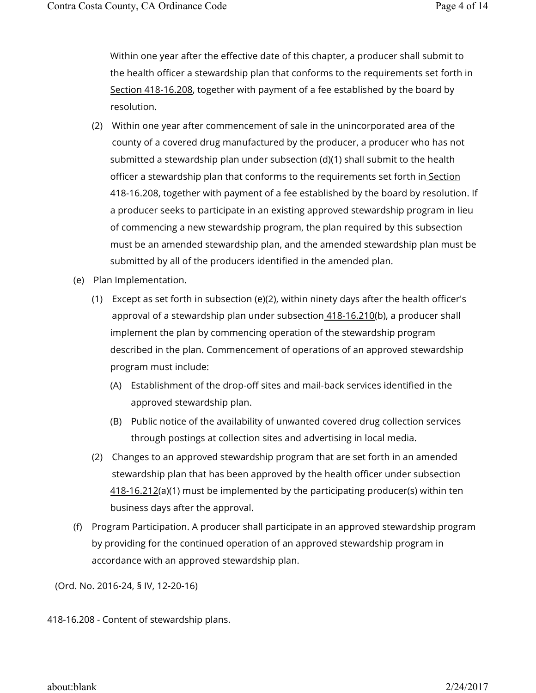Within one year after the effective date of this chapter, a producer shall submit to the health officer a stewardship plan that conforms to the requirements set forth in Section 418-16.208, together with payment of a fee established by the board by resolution.

- (2) Within one year after commencement of sale in the unincorporated area of the county of a covered drug manufactured by the producer, a producer who has not submitted a stewardship plan under subsection (d)(1) shall submit to the health officer a stewardship plan that conforms to the requirements set forth in Section 418-16.208, together with payment of a fee established by the board by resolution. If a producer seeks to participate in an existing approved stewardship program in lieu of commencing a new stewardship program, the plan required by this subsection must be an amended stewardship plan, and the amended stewardship plan must be submitted by all of the producers identified in the amended plan.
- (e) Plan Implementation.
	- (1) Except as set forth in subsection (e)(2), within ninety days after the health officer's approval of a stewardship plan under subsection 418-16.210(b), a producer shall implement the plan by commencing operation of the stewardship program described in the plan. Commencement of operations of an approved stewardship program must include:
		- (A) Establishment of the drop-off sites and mail-back services identified in the approved stewardship plan.
		- (B) Public notice of the availability of unwanted covered drug collection services through postings at collection sites and advertising in local media.
	- (2) Changes to an approved stewardship program that are set forth in an amended stewardship plan that has been approved by the health officer under subsection 418-16.212(a)(1) must be implemented by the participating producer(s) within ten business days after the approval.
- (f) Program Participation. A producer shall participate in an approved stewardship program by providing for the continued operation of an approved stewardship program in accordance with an approved stewardship plan.

(Ord. No. 2016-24, § IV, 12-20-16)

418-16.208 - Content of stewardship plans.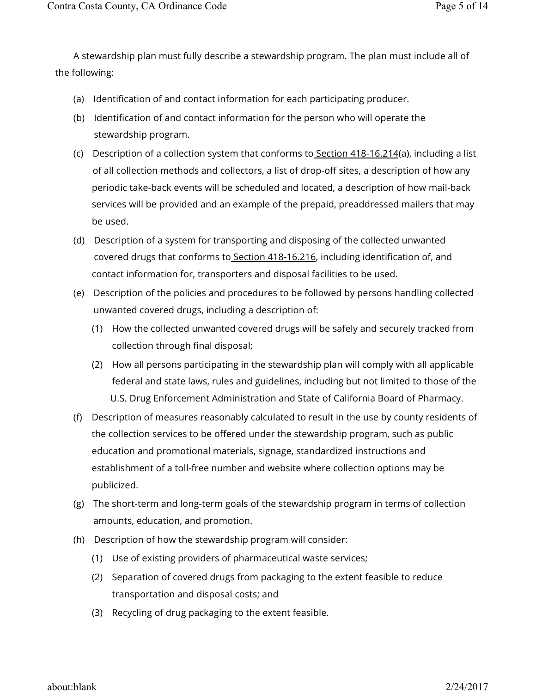A stewardship plan must fully describe a stewardship program. The plan must include all of the following:

- (a) Identification of and contact information for each participating producer.
- (b) Identification of and contact information for the person who will operate the stewardship program.
- (c) Description of a collection system that conforms to<u> Section 418-16.214</u>(a), including a list of all collection methods and collectors, a list of drop-off sites, a description of how any periodic take-back events will be scheduled and located, a description of how mail-back services will be provided and an example of the prepaid, preaddressed mailers that may be used.
- (d) Description of a system for transporting and disposing of the collected unwanted covered drugs that conforms to Section 418-16.216, including identification of, and contact information for, transporters and disposal facilities to be used.
- (e) Description of the policies and procedures to be followed by persons handling collected unwanted covered drugs, including a description of:
	- (1) How the collected unwanted covered drugs will be safely and securely tracked from collection through final disposal;
	- (2) How all persons participating in the stewardship plan will comply with all applicable federal and state laws, rules and guidelines, including but not limited to those of the U.S. Drug Enforcement Administration and State of California Board of Pharmacy.
- (f) Description of measures reasonably calculated to result in the use by county residents of the collection services to be offered under the stewardship program, such as public education and promotional materials, signage, standardized instructions and establishment of a toll-free number and website where collection options may be publicized.
- (g) The short-term and long-term goals of the stewardship program in terms of collection amounts, education, and promotion.
- (h) Description of how the stewardship program will consider:
	- (1) Use of existing providers of pharmaceutical waste services;
	- (2) Separation of covered drugs from packaging to the extent feasible to reduce transportation and disposal costs; and
	- (3) Recycling of drug packaging to the extent feasible.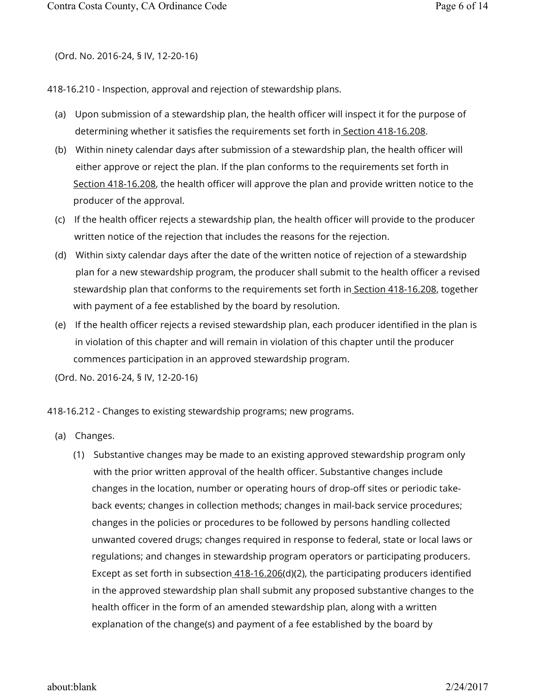418-16.210 - Inspection, approval and rejection of stewardship plans.

- (a) Upon submission of a stewardship plan, the health officer will inspect it for the purpose of determining whether it satisfies the requirements set forth in Section 418-16.208.
- (b) Within ninety calendar days after submission of a stewardship plan, the health officer will either approve or reject the plan. If the plan conforms to the requirements set forth in Section 418-16.208, the health officer will approve the plan and provide written notice to the producer of the approval.
- (c) If the health officer rejects a stewardship plan, the health officer will provide to the producer written notice of the rejection that includes the reasons for the rejection.
- (d) Within sixty calendar days after the date of the written notice of rejection of a stewardship plan for a new stewardship program, the producer shall submit to the health officer a revised stewardship plan that conforms to the requirements set forth in Section 418-16.208, together with payment of a fee established by the board by resolution.
- (e) If the health officer rejects a revised stewardship plan, each producer identified in the plan is in violation of this chapter and will remain in violation of this chapter until the producer commences participation in an approved stewardship program.

(Ord. No. 2016-24, § IV, 12-20-16)

418-16.212 - Changes to existing stewardship programs; new programs.

- (a) Changes.
	- (1) Substantive changes may be made to an existing approved stewardship program only with the prior written approval of the health officer. Substantive changes include changes in the location, number or operating hours of drop-off sites or periodic takeback events; changes in collection methods; changes in mail-back service procedures; changes in the policies or procedures to be followed by persons handling collected unwanted covered drugs; changes required in response to federal, state or local laws or regulations; and changes in stewardship program operators or participating producers. Except as set forth in subsection 418-16.206(d)(2), the participating producers identified in the approved stewardship plan shall submit any proposed substantive changes to the health officer in the form of an amended stewardship plan, along with a written explanation of the change(s) and payment of a fee established by the board by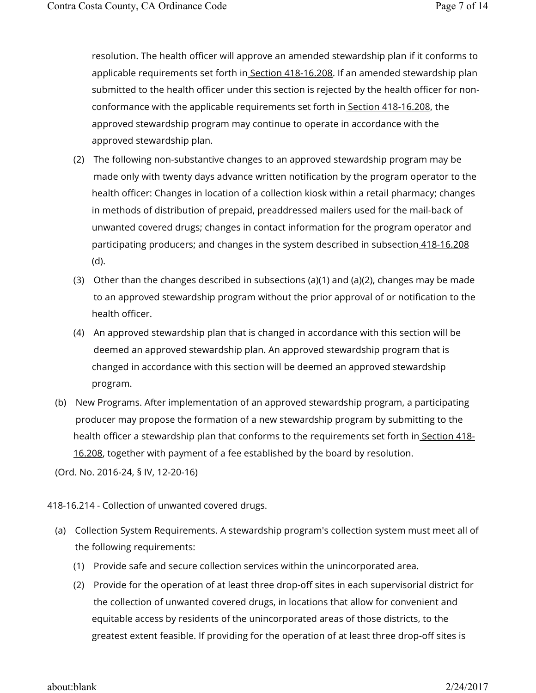resolution. The health officer will approve an amended stewardship plan if it conforms to applicable requirements set forth in Section 418-16.208. If an amended stewardship plan submitted to the health officer under this section is rejected by the health officer for nonconformance with the applicable requirements set forth in Section 418-16.208, the approved stewardship program may continue to operate in accordance with the approved stewardship plan.

- (2) The following non-substantive changes to an approved stewardship program may be made only with twenty days advance written notification by the program operator to the health officer: Changes in location of a collection kiosk within a retail pharmacy; changes in methods of distribution of prepaid, preaddressed mailers used for the mail-back of unwanted covered drugs; changes in contact information for the program operator and participating producers; and changes in the system described in subsection 418-16.208 (d).
- (3) Other than the changes described in subsections (a)(1) and (a)(2), changes may be made to an approved stewardship program without the prior approval of or notification to the health officer.
- (4) An approved stewardship plan that is changed in accordance with this section will be deemed an approved stewardship plan. An approved stewardship program that is changed in accordance with this section will be deemed an approved stewardship program.
- (b) New Programs. After implementation of an approved stewardship program, a participating producer may propose the formation of a new stewardship program by submitting to the health officer a stewardship plan that conforms to the requirements set forth in Section 418-16.208, together with payment of a fee established by the board by resolution.

(Ord. No. 2016-24, § IV, 12-20-16)

418-16.214 - Collection of unwanted covered drugs.

- (a) Collection System Requirements. A stewardship program's collection system must meet all of the following requirements:
	- (1) Provide safe and secure collection services within the unincorporated area.
	- (2) Provide for the operation of at least three drop-off sites in each supervisorial district for the collection of unwanted covered drugs, in locations that allow for convenient and equitable access by residents of the unincorporated areas of those districts, to the greatest extent feasible. If providing for the operation of at least three drop-off sites is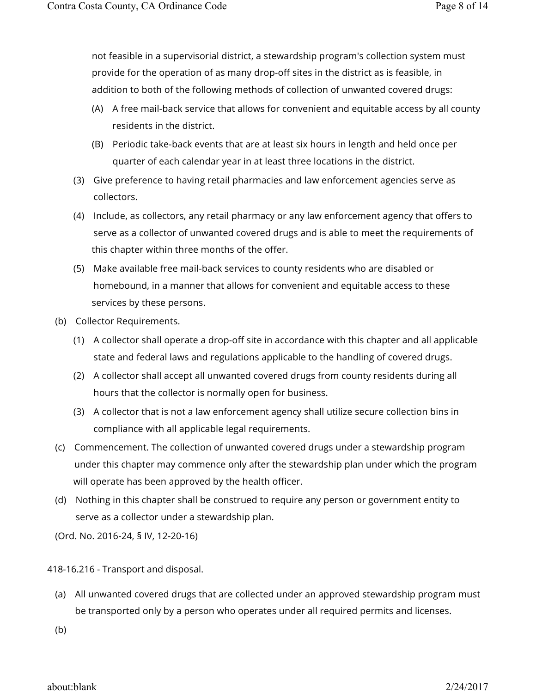not feasible in a supervisorial district, a stewardship program's collection system must provide for the operation of as many drop-off sites in the district as is feasible, in addition to both of the following methods of collection of unwanted covered drugs:

- (A) A free mail-back service that allows for convenient and equitable access by all county residents in the district.
- (B) Periodic take-back events that are at least six hours in length and held once per quarter of each calendar year in at least three locations in the district.
- (3) Give preference to having retail pharmacies and law enforcement agencies serve as collectors.
- (4) Include, as collectors, any retail pharmacy or any law enforcement agency that offers to serve as a collector of unwanted covered drugs and is able to meet the requirements of this chapter within three months of the offer.
- (5) Make available free mail-back services to county residents who are disabled or homebound, in a manner that allows for convenient and equitable access to these services by these persons.
- (b) Collector Requirements.
	- (1) A collector shall operate a drop-off site in accordance with this chapter and all applicable state and federal laws and regulations applicable to the handling of covered drugs.
	- (2) A collector shall accept all unwanted covered drugs from county residents during all hours that the collector is normally open for business.
	- (3) A collector that is not a law enforcement agency shall utilize secure collection bins in compliance with all applicable legal requirements.
- (c) Commencement. The collection of unwanted covered drugs under a stewardship program under this chapter may commence only after the stewardship plan under which the program will operate has been approved by the health officer.
- (d) Nothing in this chapter shall be construed to require any person or government entity to serve as a collector under a stewardship plan.

(Ord. No. 2016-24, § IV, 12-20-16)

418-16.216 - Transport and disposal.

- (a) All unwanted covered drugs that are collected under an approved stewardship program must be transported only by a person who operates under all required permits and licenses.
- (b)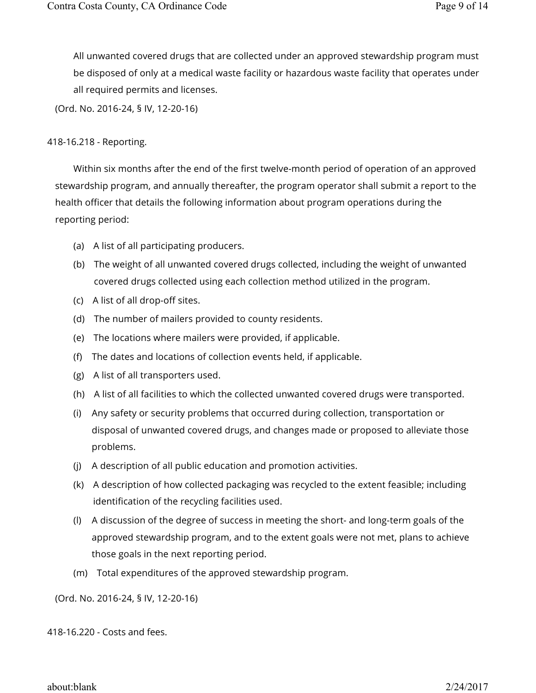All unwanted covered drugs that are collected under an approved stewardship program must be disposed of only at a medical waste facility or hazardous waste facility that operates under all required permits and licenses.

(Ord. No. 2016-24, § IV, 12-20-16)

# 418-16.218 - Reporting.

Within six months after the end of the first twelve-month period of operation of an approved stewardship program, and annually thereafter, the program operator shall submit a report to the health officer that details the following information about program operations during the reporting period:

- (a) A list of all participating producers.
- (b) The weight of all unwanted covered drugs collected, including the weight of unwanted covered drugs collected using each collection method utilized in the program.
- (c) A list of all drop-off sites.
- (d) The number of mailers provided to county residents.
- (e) The locations where mailers were provided, if applicable.
- (f) The dates and locations of collection events held, if applicable.
- (g) A list of all transporters used.
- (h) A list of all facilities to which the collected unwanted covered drugs were transported.
- (i) Any safety or security problems that occurred during collection, transportation or disposal of unwanted covered drugs, and changes made or proposed to alleviate those problems.
- (j) A description of all public education and promotion activities.
- (k) A description of how collected packaging was recycled to the extent feasible; including identification of the recycling facilities used.
- (l) A discussion of the degree of success in meeting the short- and long-term goals of the approved stewardship program, and to the extent goals were not met, plans to achieve those goals in the next reporting period.
- (m) Total expenditures of the approved stewardship program.

(Ord. No. 2016-24, § IV, 12-20-16)

418-16.220 - Costs and fees.

about:blank 2/24/2017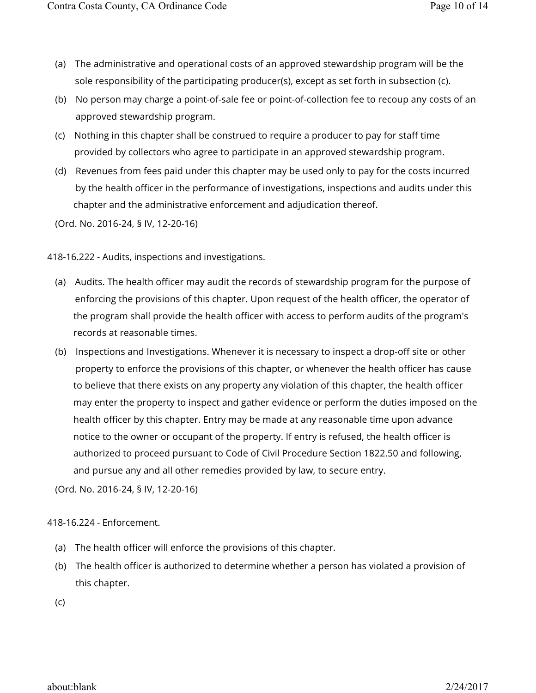- (a) The administrative and operational costs of an approved stewardship program will be the sole responsibility of the participating producer(s), except as set forth in subsection (c).
- (b) No person may charge a point-of-sale fee or point-of-collection fee to recoup any costs of an approved stewardship program.
- (c) Nothing in this chapter shall be construed to require a producer to pay for staff time provided by collectors who agree to participate in an approved stewardship program.
- (d) Revenues from fees paid under this chapter may be used only to pay for the costs incurred by the health officer in the performance of investigations, inspections and audits under this chapter and the administrative enforcement and adjudication thereof.

418-16.222 - Audits, inspections and investigations.

- (a) Audits. The health officer may audit the records of stewardship program for the purpose of enforcing the provisions of this chapter. Upon request of the health officer, the operator of the program shall provide the health officer with access to perform audits of the program's records at reasonable times.
- (b) Inspections and Investigations. Whenever it is necessary to inspect a drop-off site or other property to enforce the provisions of this chapter, or whenever the health officer has cause to believe that there exists on any property any violation of this chapter, the health officer may enter the property to inspect and gather evidence or perform the duties imposed on the health officer by this chapter. Entry may be made at any reasonable time upon advance notice to the owner or occupant of the property. If entry is refused, the health officer is authorized to proceed pursuant to Code of Civil Procedure Section 1822.50 and following, and pursue any and all other remedies provided by law, to secure entry.

(Ord. No. 2016-24, § IV, 12-20-16)

### 418-16.224 - Enforcement.

- (a) The health officer will enforce the provisions of this chapter.
- (b) The health officer is authorized to determine whether a person has violated a provision of this chapter.
- (c)

about:blank 2/24/2017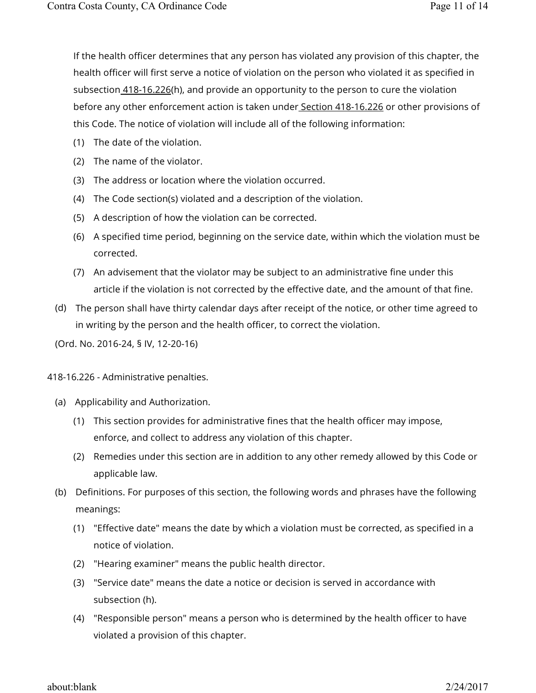If the health officer determines that any person has violated any provision of this chapter, the health officer will first serve a notice of violation on the person who violated it as specified in subsection  $418-16.226(h)$ , and provide an opportunity to the person to cure the violation before any other enforcement action is taken under Section 418-16.226 or other provisions of this Code. The notice of violation will include all of the following information:

- (1) The date of the violation.
- (2) The name of the violator.
- (3) The address or location where the violation occurred.
- (4) The Code section(s) violated and a description of the violation.
- (5) A description of how the violation can be corrected.
- (6) A specified time period, beginning on the service date, within which the violation must be corrected.
- (7) An advisement that the violator may be subject to an administrative fine under this article if the violation is not corrected by the effective date, and the amount of that fine.
- (d) The person shall have thirty calendar days after receipt of the notice, or other time agreed to in writing by the person and the health officer, to correct the violation.

(Ord. No. 2016-24, § IV, 12-20-16)

- 418-16.226 Administrative penalties.
	- (a) Applicability and Authorization.
		- (1) This section provides for administrative fines that the health officer may impose, enforce, and collect to address any violation of this chapter.
		- (2) Remedies under this section are in addition to any other remedy allowed by this Code or applicable law.
	- (b) Definitions. For purposes of this section, the following words and phrases have the following meanings:
		- (1) "Effective date" means the date by which a violation must be corrected, as specified in a notice of violation.
		- (2) "Hearing examiner" means the public health director.
		- (3) "Service date" means the date a notice or decision is served in accordance with subsection (h).
		- (4) "Responsible person" means a person who is determined by the health officer to have violated a provision of this chapter.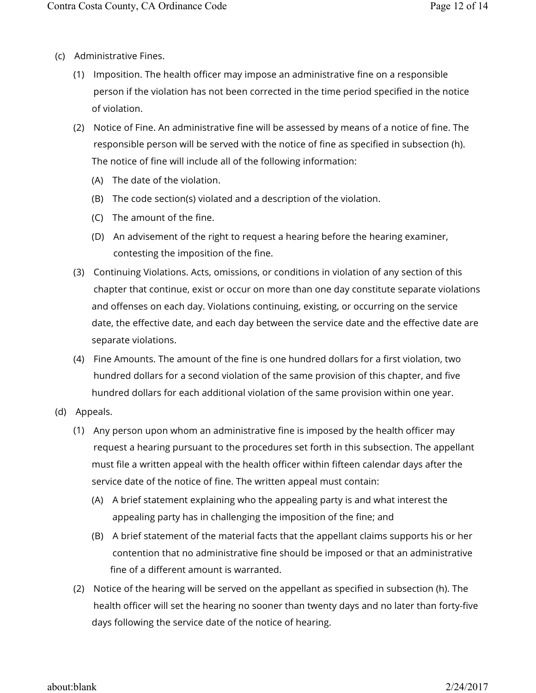- (c) Administrative Fines.
	- (1) Imposition. The health officer may impose an administrative fine on a responsible person if the violation has not been corrected in the time period specified in the notice of violation.
	- (2) Notice of Fine. An administrative fine will be assessed by means of a notice of fine. The responsible person will be served with the notice of fine as specified in subsection (h). The notice of fine will include all of the following information:
		- (A) The date of the violation.
		- (B) The code section(s) violated and a description of the violation.
		- (C) The amount of the fine.
		- (D) An advisement of the right to request a hearing before the hearing examiner, contesting the imposition of the fine.
	- (3) Continuing Violations. Acts, omissions, or conditions in violation of any section of this chapter that continue, exist or occur on more than one day constitute separate violations and offenses on each day. Violations continuing, existing, or occurring on the service date, the effective date, and each day between the service date and the effective date are separate violations.
	- (4) Fine Amounts. The amount of the fine is one hundred dollars for a first violation, two hundred dollars for a second violation of the same provision of this chapter, and five hundred dollars for each additional violation of the same provision within one year.
- (d) Appeals.
	- (1) Any person upon whom an administrative fine is imposed by the health officer may request a hearing pursuant to the procedures set forth in this subsection. The appellant must file a written appeal with the health officer within fifteen calendar days after the service date of the notice of fine. The written appeal must contain:
		- (A) A brief statement explaining who the appealing party is and what interest the appealing party has in challenging the imposition of the fine; and
		- (B) A brief statement of the material facts that the appellant claims supports his or her contention that no administrative fine should be imposed or that an administrative fine of a different amount is warranted.
	- (2) Notice of the hearing will be served on the appellant as specified in subsection (h). The health officer will set the hearing no sooner than twenty days and no later than forty-five days following the service date of the notice of hearing.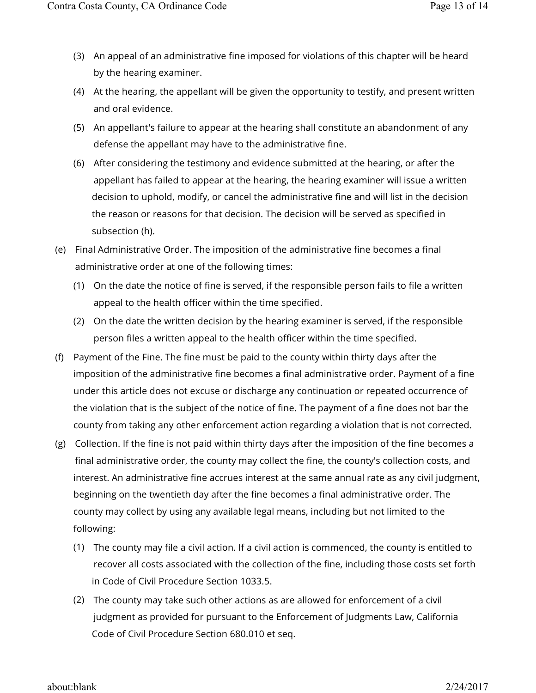- (3) An appeal of an administrative fine imposed for violations of this chapter will be heard by the hearing examiner.
- (4) At the hearing, the appellant will be given the opportunity to testify, and present written and oral evidence.
- (5) An appellant's failure to appear at the hearing shall constitute an abandonment of any defense the appellant may have to the administrative fine.
- (6) After considering the testimony and evidence submitted at the hearing, or after the appellant has failed to appear at the hearing, the hearing examiner will issue a written decision to uphold, modify, or cancel the administrative fine and will list in the decision the reason or reasons for that decision. The decision will be served as specified in subsection (h).
- (e) Final Administrative Order. The imposition of the administrative fine becomes a final administrative order at one of the following times:
	- (1) On the date the notice of fine is served, if the responsible person fails to file a written appeal to the health officer within the time specified.
	- (2) On the date the written decision by the hearing examiner is served, if the responsible person files a written appeal to the health officer within the time specified.
- (f) Payment of the Fine. The fine must be paid to the county within thirty days after the imposition of the administrative fine becomes a final administrative order. Payment of a fine under this article does not excuse or discharge any continuation or repeated occurrence of the violation that is the subject of the notice of fine. The payment of a fine does not bar the county from taking any other enforcement action regarding a violation that is not corrected.
- (g) Collection. If the fine is not paid within thirty days after the imposition of the fine becomes a final administrative order, the county may collect the fine, the county's collection costs, and interest. An administrative fine accrues interest at the same annual rate as any civil judgment, beginning on the twentieth day after the fine becomes a final administrative order. The county may collect by using any available legal means, including but not limited to the following:
	- (1) The county may file a civil action. If a civil action is commenced, the county is entitled to recover all costs associated with the collection of the fine, including those costs set forth in Code of Civil Procedure Section 1033.5.
	- (2) The county may take such other actions as are allowed for enforcement of a civil judgment as provided for pursuant to the Enforcement of Judgments Law, California Code of Civil Procedure Section 680.010 et seq.